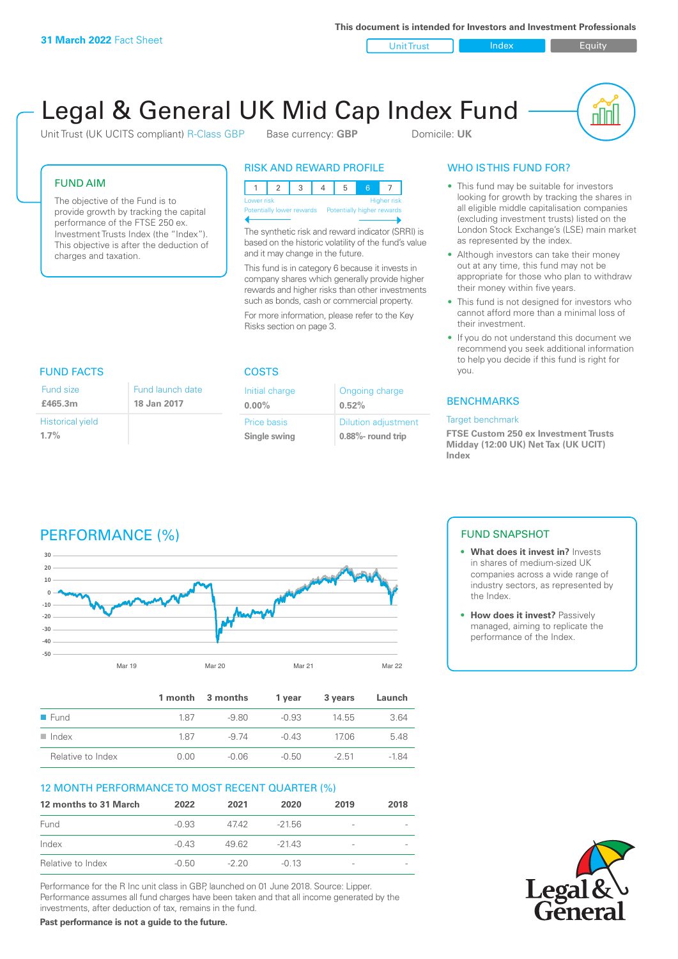**This document is intended for Investors and Investment Professionals**

Unit Trust Index I Equity

# Legal & General UK Mid Cap Index Fund

Initial charge **0.00%**

Price basis **Single swing**

Unit Trust (UK UCITS compliant) R-Class GBP Base currency: **GBP** Domicile: UK

nnl

### FUND AIM

The objective of the Fund is to provide growth by tracking the capital performance of the FTSE 250 ex. Investment Trusts Index (the "Index"). This objective is after the deduction of charges and taxation.

FUND FACTS COSTS

Fund launch date **18 Jan 2017**

### RISK AND REWARD PROFILE

| Lower risk<br><b>Higher risk</b> |  |                           |  |                            |  |  |  |
|----------------------------------|--|---------------------------|--|----------------------------|--|--|--|
|                                  |  | Potentially lower rewards |  | Potentially higher rewards |  |  |  |
|                                  |  |                           |  |                            |  |  |  |

The synthetic risk and reward indicator (SRRI) is based on the historic volatility of the fund's value and it may change in the future.

This fund is in category 6 because it invests in company shares which generally provide higher rewards and higher risks than other investments such as bonds, cash or commercial property.

For more information, please refer to the Key Risks section on page 3.

Ongoing charge

Dilution adjustment **0.88%- round trip**

**0.52%**

## WHO IS THIS FUND FOR?

- This fund may be suitable for investors looking for growth by tracking the shares in all eligible middle capitalisation companies (excluding investment trusts) listed on the London Stock Exchange's (LSE) main market as represented by the index.
- Although investors can take their money out at any time, this fund may not be appropriate for those who plan to withdraw their money within five years.
- This fund is not designed for investors who cannot afford more than a minimal loss of their investment.
- If you do not understand this document we recommend you seek additional information to help you decide if this fund is right for you.

### **BENCHMARKS**

#### Target benchmark

**FTSE Custom 250 ex Investment Trusts Midday (12:00 UK) Net Tax (UK UCIT) Index**

#### Historical yield **1.7%**

Fund size **£465.3m**

### PERFORMANCE (%)



|                      |      | 1 month 3 months | 1 vear  | 3 years | Launch |
|----------------------|------|------------------|---------|---------|--------|
| $\blacksquare$ Fund  | 187  | -9.80            | $-0.93$ | 14.55   | 3.64   |
| $\blacksquare$ Index | 187  | -9.74            | $-0.43$ | 1706    | 5.48   |
| Relative to Index    | 0.00 | -0.06            | -0.50   | $-2.51$ | $-184$ |

### 12 MONTH PERFORMANCE TO MOST RECENT QUARTER (%)

| 12 months to 31 March | 2022    | 2021    | 2020     | 2019                         | 2018 |
|-----------------------|---------|---------|----------|------------------------------|------|
| Fund                  | $-0.93$ | 4742    | $-21.56$ | $\qquad \qquad$              |      |
| Index                 | $-0.43$ | 49.62   | $-2143$  | -                            |      |
| Relative to Index     | $-0.50$ | $-2.20$ | $-0.13$  | $\qquad \qquad \blacksquare$ |      |

Performance for the R Inc unit class in GBP, launched on 01 June 2018. Source: Lipper. Performance assumes all fund charges have been taken and that all income generated by the investments, after deduction of tax, remains in the fund.

**Past performance is not a guide to the future.**

### FUND SNAPSHOT

- **• What does it invest in?** Invests in shares of medium-sized UK companies across a wide range of industry sectors, as represented by the Index.
- **• How does it invest?** Passively managed, aiming to replicate the performance of the Index.

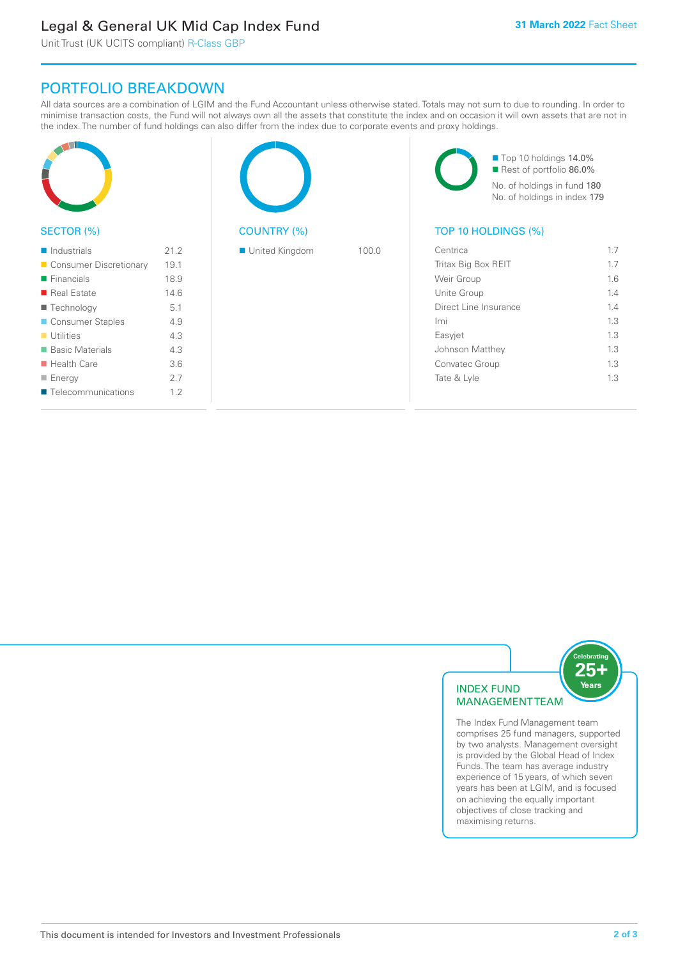### Legal & General UK Mid Cap Index Fund

Unit Trust (UK UCITS compliant) R-Class GBP

### PORTFOLIO BREAKDOWN

All data sources are a combination of LGIM and the Fund Accountant unless otherwise stated. Totals may not sum to due to rounding. In order to minimise transaction costs, the Fund will not always own all the assets that constitute the index and on occasion it will own assets that are not in the index. The number of fund holdings can also differ from the index due to corporate events and proxy holdings.

| SECTOR (%)                 |      | <b>COUNTRY (%)</b> |       | TOP 10 HOLDINGS (%)   | Top 10 holdings 14.0%<br>Rest of portfolio 86.0%<br>No. of holdings in fund 180<br>No. of holdings in index 179 |
|----------------------------|------|--------------------|-------|-----------------------|-----------------------------------------------------------------------------------------------------------------|
| $\blacksquare$ Industrials | 21.2 | United Kingdom     | 100.0 | Centrica              | 1.7                                                                                                             |
|                            |      |                    |       |                       |                                                                                                                 |
| Consumer Discretionary     | 19.1 |                    |       | Tritax Big Box REIT   | 1.7                                                                                                             |
| $\blacksquare$ Financials  | 18.9 |                    |       | Weir Group            | 1.6                                                                                                             |
| Real Estate                | 14.6 |                    |       | Unite Group           | 1.4                                                                                                             |
| ■ Technology               | 5.1  |                    |       | Direct Line Insurance | 1.4                                                                                                             |
| Consumer Staples           | 4.9  |                    |       | Imi                   | 1.3                                                                                                             |
| $\blacksquare$ Utilities   | 4.3  |                    |       | Easyjet               | 1.3                                                                                                             |
| ■ Basic Materials          | 4.3  |                    |       | Johnson Matthey       | 1.3                                                                                                             |
| $\blacksquare$ Health Care | 3.6  |                    |       | Convatec Group        | 1.3                                                                                                             |
| $\blacksquare$ Energy      | 2.7  |                    |       | Tate & Lyle           | 1.3                                                                                                             |
| ■ Telecommunications       | 1.2  |                    |       |                       |                                                                                                                 |



The Index Fund Management team comprises 25 fund managers, supported by two analysts. Management oversight is provided by the Global Head of Index Funds. The team has average industry experience of 15 years, of which seven years has been at LGIM, and is focused on achieving the equally important objectives of close tracking and maximising returns.